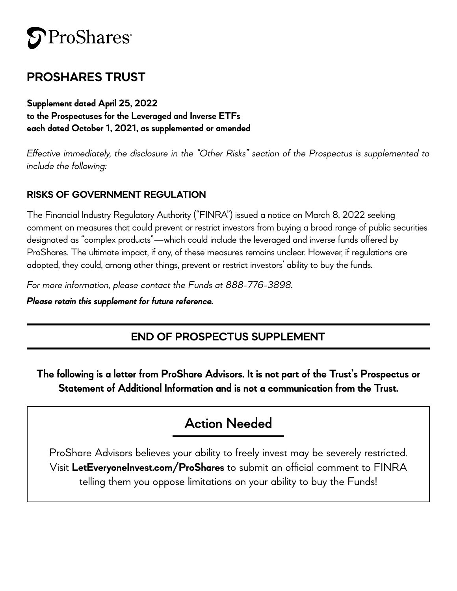# **S**ProShares<sup>®</sup>

## **PROSHARES TRUST**

**Supplement dated April 25, 2022 to the Prospectuses for the Leveraged and Inverse ETFs each dated October 1, 2021, as supplemented or amended** 

*Effective immediately, the disclosure in the "Other Risks" section of the Prospectus is supplemented to include the following:* 

## **RISKS OF GOVERNMENT REGULATION**

The Financial Industry Regulatory Authority ("FINRA") issued a notice on March 8, 2022 seeking comment on measures that could prevent or restrict investors from buying a broad range of public securities designated as "complex products"—which could include the leveraged and inverse funds offered by ProShares. The ultimate impact, if any, of these measures remains unclear. However, if regulations are adopted, they could, among other things, prevent or restrict investors' ability to buy the funds.

*For more information, please contact the Funds at 888-776-3898.*

*Please retain this supplement for future reference.*

## **END OF PROSPECTUS SUPPLEMENT**

**The following is a letter from ProShare Advisors. It is not part of the Trust's Prospectus or Statement of Additional Information and is not a communication from the Trust.**

## **Action Needed**

ProShare Advisors believes your ability to freely invest may be severely restricted. Visit **[LetEveryoneInvest.com/ProShares](http://LetEveryoneInvest.com/ProShares)** to submit an official comment to FINRA telling them you oppose limitations on your ability to buy the Funds!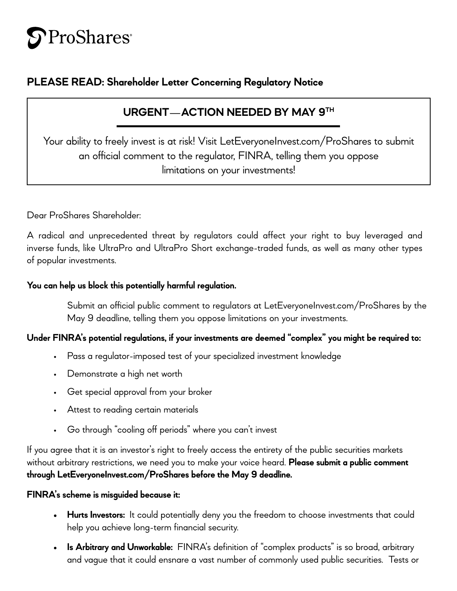# ProShares<sup>®</sup>

## **PLEASE READ: Shareholder Letter Concerning Regulatory Notice**

## **URGENT**—**ACTION NEEDED BY MAY 9TH**

Your ability to freely invest is at risk! Visit [LetEveryoneInvest.com/ProShares](http://LetEveryoneInvest.com/ProShares) to submit an official comment to the regulator, FINRA, telling them you oppose limitations on your investments!

Dear ProShares Shareholder:

A radical and unprecedented threat by regulators could affect your right to buy leveraged and inverse funds, like UltraPro and UltraPro Short exchange-traded funds, as well as many other types of popular investments.

#### **You can help us block this potentially harmful regulation.**

Submit an official public comment to regulators at [LetEveryoneInvest.com/ProShares](http://LetEveryoneInvest.com/ProShares) by the May 9 deadline, telling them you oppose limitations on your investments.

### **Under FINRA's potential regulations, if your investments are deemed "complex" you might be required to:**

- Pass a regulator-imposed test of your specialized investment knowledge
- Demonstrate a high net worth
- Get special approval from your broker
- Attest to reading certain materials
- Go through "cooling off periods" where you can't invest

If you agree that it is an investor's right to freely access the entirety of the public securities markets without arbitrary restrictions, we need you to make your voice heard. **Please submit a public comment through [LetEveryoneInvest.com/ProShares](http://LetEveryoneInvest.com/ProShares) before the May 9 deadline.**

#### **FINRA's scheme is misguided because it:**

- **• Hurts Investors:** It could potentially deny you the freedom to choose investments that could help you achieve long-term financial security.
- **• Is Arbitrary and Unworkable:** FINRA's definition of "complex products" is so broad, arbitrary and vague that it could ensnare a vast number of commonly used public securities. Tests or